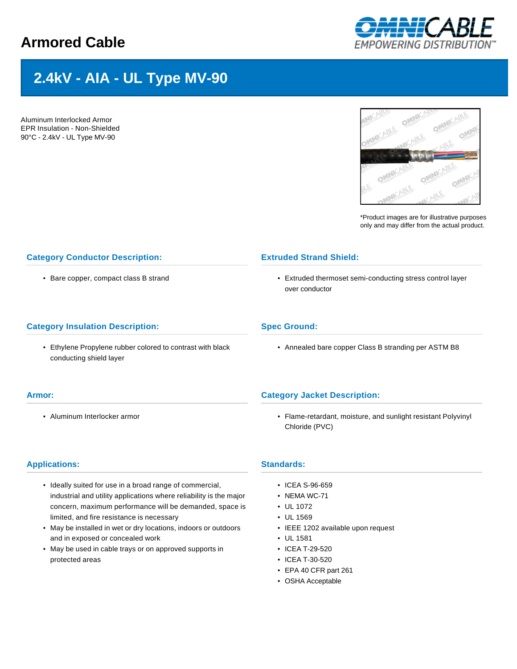## **Armored Cable**



# **2.4kV - AIA - UL Type MV-90**

Aluminum Interlocked Armor EPR Insulation - Non-Shielded 90°C - 2.4kV - UL Type MV-90



\*Product images are for illustrative purposes only and may differ from the actual product.

#### **Category Conductor Description:**

• Bare copper, compact class B strand

#### **Category Insulation Description:**

• Ethylene Propylene rubber colored to contrast with black conducting shield layer

#### **Extruded Strand Shield:**

• Extruded thermoset semi-conducting stress control layer over conductor

#### **Spec Ground:**

• Annealed bare copper Class B stranding per ASTM B8

#### **Armor:**

• Aluminum Interlocker armor

### **Category Jacket Description:**

• Flame-retardant, moisture, and sunlight resistant Polyvinyl Chloride (PVC)

#### **Applications:**

- Ideally suited for use in a broad range of commercial, industrial and utility applications where reliability is the major concern, maximum performance will be demanded, space is limited, and fire resistance is necessary
- May be installed in wet or dry locations, indoors or outdoors and in exposed or concealed work
- May be used in cable trays or on approved supports in protected areas

#### **Standards:**

- ICEA S-96-659
- NEMA WC-71
- UL 1072
- UL 1569
- IEEE 1202 available upon request
- UL 1581
- ICEA T-29-520
- ICEA T-30-520
- EPA 40 CFR part 261
- OSHA Acceptable